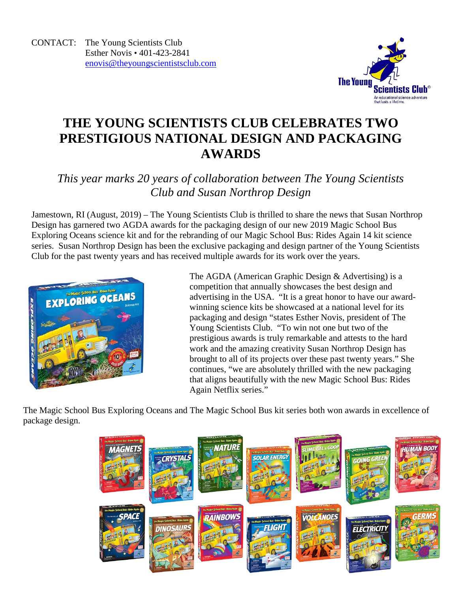

## **THE YOUNG SCIENTISTS CLUB CELEBRATES TWO PRESTIGIOUS NATIONAL DESIGN AND PACKAGING AWARDS**

*This year marks 20 years of collaboration between The Young Scientists Club and Susan Northrop Design* 

Jamestown, RI (August, 2019) – The Young Scientists Club is thrilled to share the news that Susan Northrop Design has garnered two AGDA awards for the packaging design of our new 2019 Magic School Bus Exploring Oceans science kit and for the rebranding of our Magic School Bus: Rides Again 14 kit science series. Susan Northrop Design has been the exclusive packaging and design partner of the Young Scientists Club for the past twenty years and has received multiple awards for its work over the years.



The AGDA (American Graphic Design & Advertising) is a competition that annually showcases the best design and advertising in the USA. "It is a great honor to have our awardwinning science kits be showcased at a national level for its packaging and design "states Esther Novis, president of The Young Scientists Club. "To win not one but two of the prestigious awards is truly remarkable and attests to the hard work and the amazing creativity Susan Northrop Design has brought to all of its projects over these past twenty years." She continues, "we are absolutely thrilled with the new packaging that aligns beautifully with the new Magic School Bus: Rides Again Netflix series."

The Magic School Bus Exploring Oceans and The Magic School Bus kit series both won awards in excellence of package design.